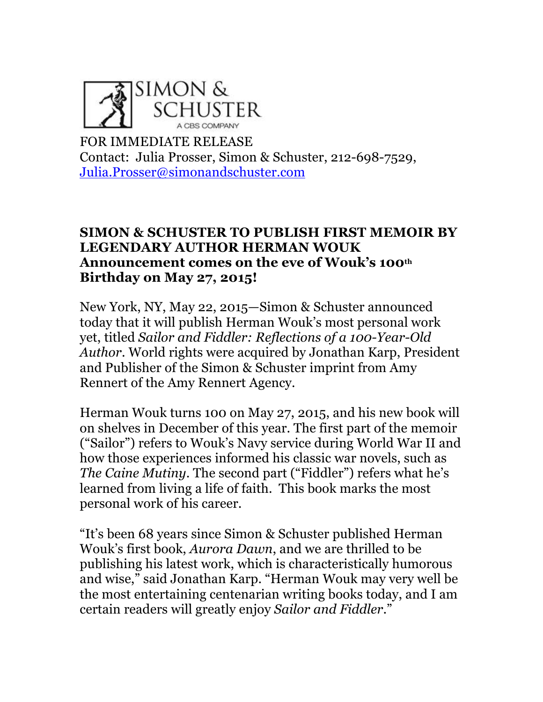

FOR IMMEDIATE RELEASE Contact: Julia Prosser, Simon & Schuster, 212-698-7529, Julia.Prosser@simonandschuster.com

## **SIMON & SCHUSTER TO PUBLISH FIRST MEMOIR BY LEGENDARY AUTHOR HERMAN WOUK Announcement comes on the eve of Wouk's 100th Birthday on May 27, 2015!**

New York, NY, May 22, 2015—Simon & Schuster announced today that it will publish Herman Wouk's most personal work yet, titled *Sailor and Fiddler: Reflections of a 100-Year-Old Author*. World rights were acquired by Jonathan Karp, President and Publisher of the Simon & Schuster imprint from Amy Rennert of the Amy Rennert Agency.

Herman Wouk turns 100 on May 27, 2015, and his new book will on shelves in December of this year. The first part of the memoir ("Sailor") refers to Wouk's Navy service during World War II and how those experiences informed his classic war novels, such as *The Caine Mutiny*. The second part ("Fiddler") refers what he's learned from living a life of faith. This book marks the most personal work of his career.

"It's been 68 years since Simon & Schuster published Herman Wouk's first book, *Aurora Dawn*, and we are thrilled to be publishing his latest work, which is characteristically humorous and wise," said Jonathan Karp. "Herman Wouk may very well be the most entertaining centenarian writing books today, and I am certain readers will greatly enjoy *Sailor and Fiddler*."